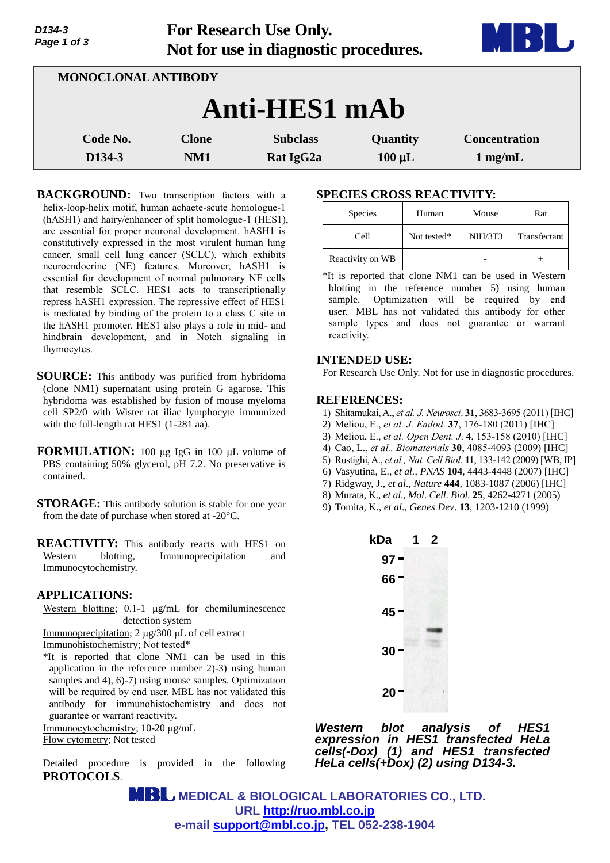| Page 1 of 3                     | Tot research Obe Omy.<br>Not for use in diagnostic procedures. |                                          |                         |                                           |
|---------------------------------|----------------------------------------------------------------|------------------------------------------|-------------------------|-------------------------------------------|
| <b>MONOCLONAL ANTIBODY</b>      |                                                                |                                          |                         |                                           |
|                                 |                                                                | Anti-HES1 mAb                            |                         |                                           |
| Code No.<br>D <sub>134</sub> -3 | <b>Clone</b><br>NM1                                            | <b>Subclass</b><br>Rat IgG <sub>2a</sub> | Quantity<br>$100 \mu L$ | <b>Concentration</b><br>$1 \text{ mg/mL}$ |

**For Research Use Only.**

**BACKGROUND:** Two transcription factors with a helix-loop-helix motif, human achaete-scute homologue-1 (hASH1) and hairy/enhancer of split homologue-1 (HES1), are essential for proper neuronal development. hASH1 is constitutively expressed in the most virulent human lung cancer, small cell lung cancer (SCLC), which exhibits neuroendocrine (NE) features. Moreover, hASH1 is essential for development of normal pulmonary NE cells that resemble SCLC. HES1 acts to transcriptionally repress hASH1 expression. The repressive effect of HES1 is mediated by binding of the protein to a class C site in the hASH1 promoter. HES1 also plays a role in mid- and hindbrain development, and in Notch signaling in thymocytes.

- **SOURCE:** This antibody was purified from hybridoma (clone NM1) supernatant using protein G agarose. This hybridoma was established by fusion of mouse myeloma cell SP2/0 with Wister rat iliac lymphocyte immunized with the full-length rat HES1 (1-281 aa).
- **FORMULATION:** 100 µg IgG in 100 µL volume of PBS containing 50% glycerol, pH 7.2. No preservative is contained.
- **STORAGE:** This antibody solution is stable for one year from the date of purchase when stored at -20°C.
- **REACTIVITY:** This antibody reacts with HES1 on Western blotting, Immunoprecipitation and Immunocytochemistry.

## **APPLICATIONS:**

*D134-3*

Western blotting;  $0.1-1$   $\mu$ g/mL for chemiluminescence detection system

Immunoprecipitation;  $2 \mu g/300 \mu L$  of cell extract Immunohistochemistry; Not tested\*

\*It is reported that clone NM1 can be used in this application in the reference number 2)-3) using human samples and 4), 6)-7) using mouse samples. Optimization will be required by end user. MBL has not validated this antibody for immunohistochemistry and does not guarantee or warrant reactivity.

Immunocytochemistry; 10-20 µg/mL Flow cytometry; Not tested

Detailed procedure is provided in the following **PROTOCOLS**.

# **SPECIES CROSS REACTIVITY:**

| Species          | Human       | Mouse          | Rat          |
|------------------|-------------|----------------|--------------|
| Cell             | Not tested* | <b>NIH/3T3</b> | Transfectant |
| Reactivity on WB |             |                |              |

\*It is reported that clone NM1 can be used in Western blotting in the reference number 5) using human sample. Optimization will be required by end user. MBL has not validated this antibody for other sample types and does not guarantee or warrant reactivity.

#### **INTENDED USE:**

For Research Use Only. Not for use in diagnostic procedures.

# **REFERENCES:**

- 1) Shitamukai, A., *et al. J. Neurosci*. **31**, 3683-3695 (2011) [IHC]
- 2) Meliou, E., *et al. J. Endod*. **37**, 176-180 (2011) [IHC]
- 3) Meliou, E., *et al. Open Dent. J*. **4**, 153-158 (2010) [IHC]
- 4) Cao, L., *et al., Biomaterials* **30**, 4085-4093 (2009) [IHC]
- 5) Rustighi, A., *et al., Nat. Cell Biol*. **11**, 133-142 (2009) [WB, IP]
- 6) Vasyutina, E., *et al., PNAS* **104**, 4443-4448 (2007) [IHC]
- 7) Ridgway, J., *et al*., *Nature* **444**, 1083-1087 (2006) [IHC]
- 8) Murata, K., *et al*., *Mol*. *Cell*. *Biol*. **25**, 4262-4271 (2005)
- 9) Tomita, K., *et al*., *Genes Dev*. **13**, 1203-1210 (1999)



*Western blot analysis of HES1 expression in HES1 transfected HeLa cells(-Dox) (1) and HES1 transfected HeLa cells(+Dox) (2) using D134-3.* 

 **MEDICAL & BIOLOGICAL LABORATORIES CO., LTD. URL [http://ruo.mbl.co.jp](https://ruo.mbl.co.jp/) e-mail [support@mbl.co.jp,](mailto:support@mbl.co.jp) TEL 052-238-1904**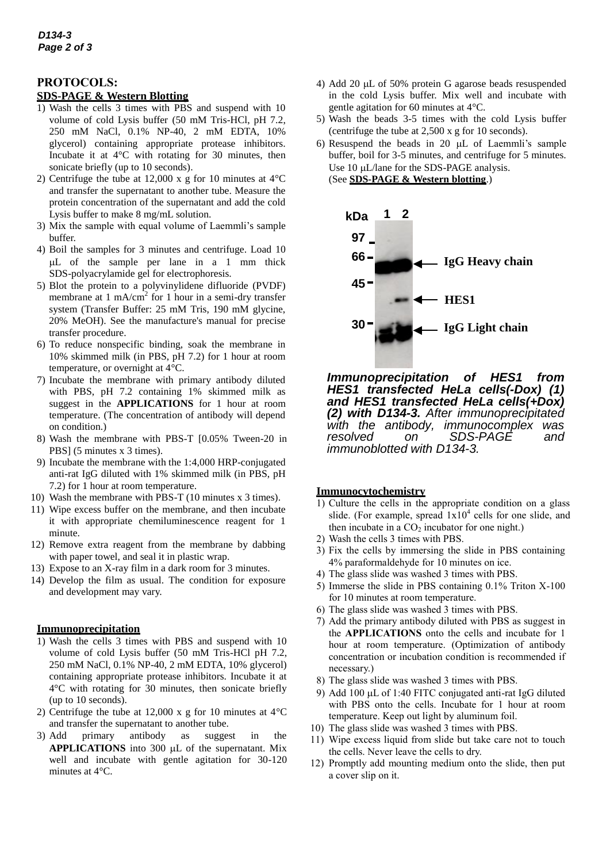# **PROTOCOLS:**

## **SDS-PAGE & Western Blotting**

- 1) Wash the cells 3 times with PBS and suspend with 10 volume of cold Lysis buffer (50 mM Tris-HCl, pH 7.2, 250 mM NaCl, 0.1% NP-40, 2 mM EDTA, 10% glycerol) containing appropriate protease inhibitors. Incubate it at 4°C with rotating for 30 minutes, then sonicate briefly (up to 10 seconds).
- 2) Centrifuge the tube at 12,000 x g for 10 minutes at 4°C and transfer the supernatant to another tube. Measure the protein concentration of the supernatant and add the cold Lysis buffer to make 8 mg/mL solution.
- 3) Mix the sample with equal volume of Laemmli's sample buffer.
- 4) Boil the samples for 3 minutes and centrifuge. Load 10 L of the sample per lane in a 1 mm thick SDS-polyacrylamide gel for electrophoresis.
- 5) Blot the protein to a polyvinylidene difluoride (PVDF) membrane at 1 mA/cm<sup>2</sup> for 1 hour in a semi-dry transfer system (Transfer Buffer: 25 mM Tris, 190 mM glycine, 20% MeOH). See the manufacture's manual for precise transfer procedure.
- 6) To reduce nonspecific binding, soak the membrane in 10% skimmed milk (in PBS, pH 7.2) for 1 hour at room temperature, or overnight at 4°C.
- 7) Incubate the membrane with primary antibody diluted with PBS, pH 7.2 containing 1% skimmed milk as suggest in the **APPLICATIONS** for 1 hour at room temperature. (The concentration of antibody will depend on condition.)
- 8) Wash the membrane with PBS-T [0.05% Tween-20 in PBS] (5 minutes x 3 times).
- 9) Incubate the membrane with the 1:4,000 HRP-conjugated anti-rat IgG diluted with 1% skimmed milk (in PBS, pH 7.2) for 1 hour at room temperature.
- 10) Wash the membrane with PBS-T (10 minutes x 3 times).
- 11) Wipe excess buffer on the membrane, and then incubate it with appropriate chemiluminescence reagent for 1 minute.
- 12) Remove extra reagent from the membrane by dabbing with paper towel, and seal it in plastic wrap.
- 13) Expose to an X-ray film in a dark room for 3 minutes.
- 14) Develop the film as usual. The condition for exposure and development may vary.

#### **Immunoprecipitation**

- 1) Wash the cells 3 times with PBS and suspend with 10 volume of cold Lysis buffer (50 mM Tris-HCl pH 7.2, 250 mM NaCl, 0.1% NP-40, 2 mM EDTA, 10% glycerol) containing appropriate protease inhibitors. Incubate it at 4°C with rotating for 30 minutes, then sonicate briefly (up to 10 seconds).
- 2) Centrifuge the tube at 12,000 x g for 10 minutes at 4°C and transfer the supernatant to another tube.
- 3) Add primary antibody as suggest in the **APPLICATIONS** into 300 uL of the supernatant. Mix well and incubate with gentle agitation for 30-120 minutes at 4°C.
- 4) Add 20  $\mu$ L of 50% protein G agarose beads resuspended in the cold Lysis buffer. Mix well and incubate with gentle agitation for 60 minutes at 4°C.
- 5) Wash the beads 3-5 times with the cold Lysis buffer (centrifuge the tube at 2,500 x g for 10 seconds).
- 6) Resuspend the beads in 20  $\mu$ L of Laemmli's sample buffer, boil for 3-5 minutes, and centrifuge for 5 minutes. Use  $10 \mu L/l$ ane for the SDS-PAGE analysis. (See **SDS-PAGE & Western blotting**.)



*Immunoprecipitation of HES1 from HES1 transfected HeLa cells(-Dox) (1) and HES1 transfected HeLa cells(+Dox) (2) with D134-3. After immunoprecipitated with the antibody, immunocomplex was resolved on SDS-PAGE and immunoblotted with D134-3.*

#### **Immunocytochemistry**

- 1) Culture the cells in the appropriate condition on a glass slide. (For example, spread  $1x10<sup>4</sup>$  cells for one slide, and then incubate in a  $CO<sub>2</sub>$  incubator for one night.)
- 2) Wash the cells 3 times with PBS.
- 3) Fix the cells by immersing the slide in PBS containing 4% paraformaldehyde for 10 minutes on ice.
- 4) The glass slide was washed 3 times with PBS.
- 5) Immerse the slide in PBS containing 0.1% Triton X-100 for 10 minutes at room temperature.
- 6) The glass slide was washed 3 times with PBS.
- 7) Add the primary antibody diluted with PBS as suggest in the **APPLICATIONS** onto the cells and incubate for 1 hour at room temperature. (Optimization of antibody concentration or incubation condition is recommended if necessary.)
- 8) The glass slide was washed 3 times with PBS.
- 9) Add 100  $\mu$ L of 1:40 FITC conjugated anti-rat IgG diluted with PBS onto the cells. Incubate for 1 hour at room temperature. Keep out light by aluminum foil.
- 10) The glass slide was washed 3 times with PBS.
- 11) Wipe excess liquid from slide but take care not to touch the cells. Never leave the cells to dry.
- 12) Promptly add mounting medium onto the slide, then put a cover slip on it.